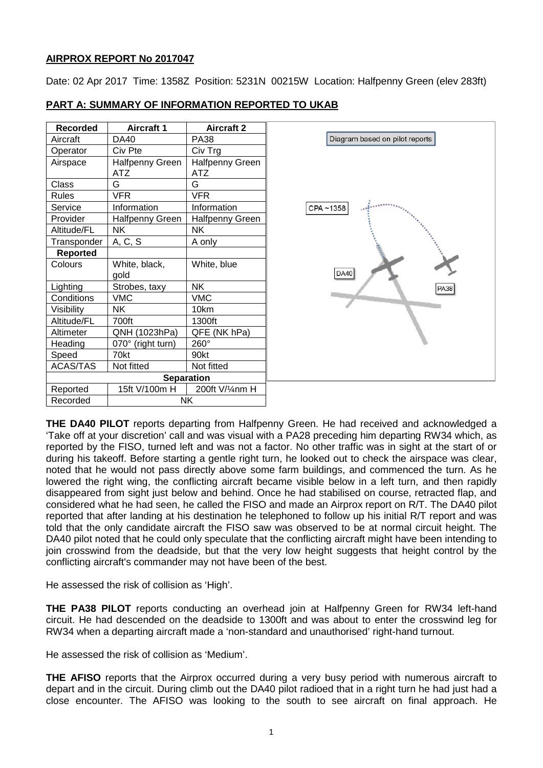# **AIRPROX REPORT No 2017047**

Date: 02 Apr 2017 Time: 1358Z Position: 5231N 00215W Location: Halfpenny Green (elev 283ft)

| <b>Recorded</b>       | <b>Aircraft 1</b>      | <b>Aircraft 2</b>      |                                |
|-----------------------|------------------------|------------------------|--------------------------------|
| Aircraft              | DA40                   | <b>PA38</b>            | Diagram based on pilot reports |
| Operator              | Civ Pte                | Civ Trg                |                                |
| Airspace              | <b>Halfpenny Green</b> | <b>Halfpenny Green</b> |                                |
|                       | <b>ATZ</b>             | <b>ATZ</b>             |                                |
| Class                 | G                      | G                      |                                |
| <b>Rules</b>          | <b>VFR</b>             | <b>VFR</b>             |                                |
| Service               | Information            | Information            | CPA~1358                       |
| Provider              | Halfpenny Green        | Halfpenny Green        |                                |
| Altitude/FL           | <b>NK</b>              | <b>NK</b>              |                                |
| Transponder           | A, C, S                | A only                 |                                |
| Reported              |                        |                        |                                |
| Colours               | White, black,          | White, blue            |                                |
|                       | gold                   |                        | DA40                           |
| Lighting              | Strobes, taxy          | <b>NK</b>              | <b>PA38</b>                    |
| Conditions            | <b>VMC</b>             | <b>VMC</b>             |                                |
| Visibility            | NΚ                     | 10km                   |                                |
| Altitude/FL           | 700ft                  | 1300ft                 |                                |
| Altimeter             | QNH (1023hPa)          | QFE (NK hPa)           |                                |
| Heading               | 070° (right turn)      | 260°                   |                                |
| Speed                 | 70kt                   | 90kt                   |                                |
| ACAS/TAS              | Not fitted             | Not fitted             |                                |
|                       |                        | <b>Separation</b>      |                                |
| Reported              | 15ft V/100m H          | 200ft V/¼nm H          |                                |
| Recorded<br><b>NK</b> |                        |                        |                                |

# **PART A: SUMMARY OF INFORMATION REPORTED TO UKAB**

**THE DA40 PILOT** reports departing from Halfpenny Green. He had received and acknowledged a 'Take off at your discretion' call and was visual with a PA28 preceding him departing RW34 which, as reported by the FISO, turned left and was not a factor. No other traffic was in sight at the start of or during his takeoff. Before starting a gentle right turn, he looked out to check the airspace was clear, noted that he would not pass directly above some farm buildings, and commenced the turn. As he lowered the right wing, the conflicting aircraft became visible below in a left turn, and then rapidly disappeared from sight just below and behind. Once he had stabilised on course, retracted flap, and considered what he had seen, he called the FISO and made an Airprox report on R/T. The DA40 pilot reported that after landing at his destination he telephoned to follow up his initial R/T report and was told that the only candidate aircraft the FISO saw was observed to be at normal circuit height. The DA40 pilot noted that he could only speculate that the conflicting aircraft might have been intending to join crosswind from the deadside, but that the very low height suggests that height control by the conflicting aircraft's commander may not have been of the best.

He assessed the risk of collision as 'High'.

**THE PA38 PILOT** reports conducting an overhead join at Halfpenny Green for RW34 left-hand circuit. He had descended on the deadside to 1300ft and was about to enter the crosswind leg for RW34 when a departing aircraft made a 'non-standard and unauthorised' right-hand turnout.

He assessed the risk of collision as 'Medium'.

**THE AFISO** reports that the Airprox occurred during a very busy period with numerous aircraft to depart and in the circuit. During climb out the DA40 pilot radioed that in a right turn he had just had a close encounter. The AFISO was looking to the south to see aircraft on final approach. He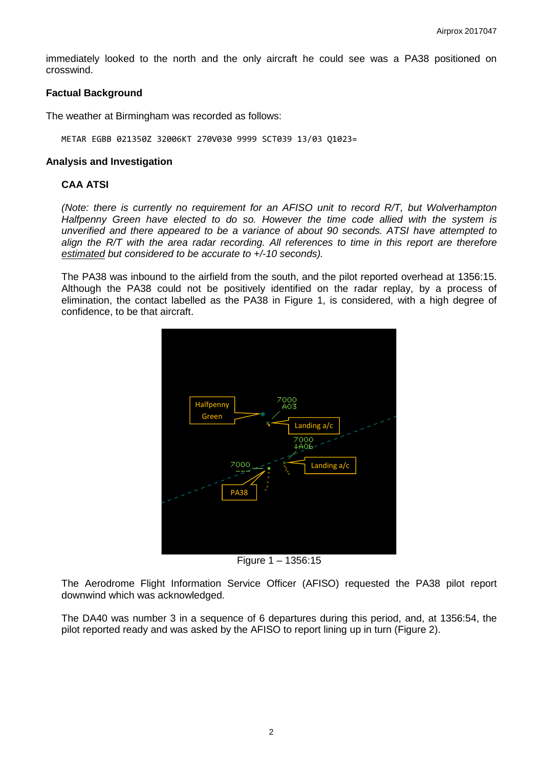immediately looked to the north and the only aircraft he could see was a PA38 positioned on crosswind.

### **Factual Background**

The weather at Birmingham was recorded as follows:

METAR EGBB 021350Z 32006KT 270V030 9999 SCT039 13/03 Q1023=

#### **Analysis and Investigation**

# **CAA ATSI**

*(Note: there is currently no requirement for an AFISO unit to record R/T, but Wolverhampton Halfpenny Green have elected to do so. However the time code allied with the system is unverified and there appeared to be a variance of about 90 seconds. ATSI have attempted to align the R/T with the area radar recording. All references to time in this report are therefore estimated but considered to be accurate to +/-10 seconds).*

The PA38 was inbound to the airfield from the south, and the pilot reported overhead at 1356:15. Although the PA38 could not be positively identified on the radar replay, by a process of elimination, the contact labelled as the PA38 in Figure 1, is considered, with a high degree of confidence, to be that aircraft.



Figure 1 – 1356:15

The Aerodrome Flight Information Service Officer (AFISO) requested the PA38 pilot report downwind which was acknowledged.

The DA40 was number 3 in a sequence of 6 departures during this period, and, at 1356:54, the pilot reported ready and was asked by the AFISO to report lining up in turn (Figure 2).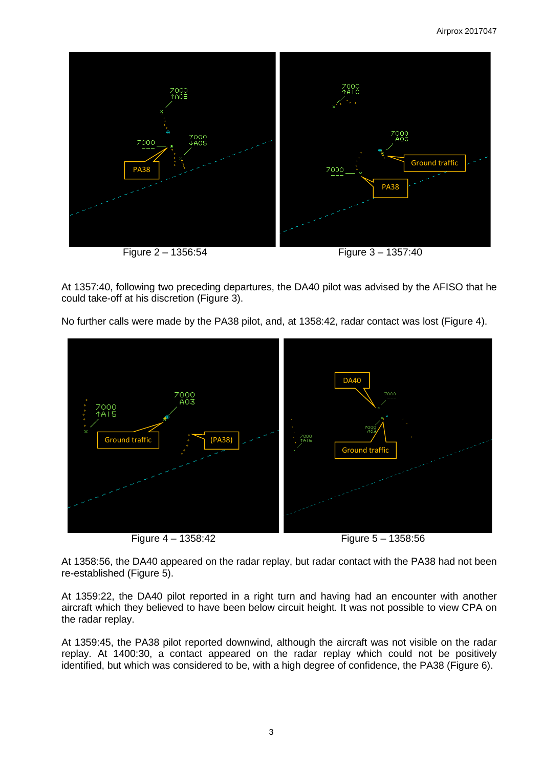

At 1357:40, following two preceding departures, the DA40 pilot was advised by the AFISO that he could take-off at his discretion (Figure 3).

No further calls were made by the PA38 pilot, and, at 1358:42, radar contact was lost (Figure 4).



Figure 4 – 1358:42 Figure 5 – 1358:56

At 1358:56, the DA40 appeared on the radar replay, but radar contact with the PA38 had not been re-established (Figure 5).

At 1359:22, the DA40 pilot reported in a right turn and having had an encounter with another aircraft which they believed to have been below circuit height. It was not possible to view CPA on the radar replay.

At 1359:45, the PA38 pilot reported downwind, although the aircraft was not visible on the radar replay. At 1400:30, a contact appeared on the radar replay which could not be positively identified, but which was considered to be, with a high degree of confidence, the PA38 (Figure 6).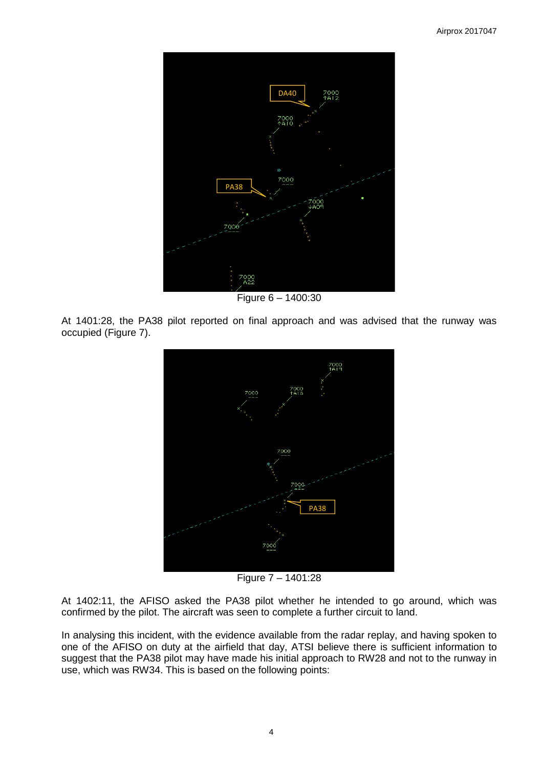

Figure 6 – 1400:30

At 1401:28, the PA38 pilot reported on final approach and was advised that the runway was occupied (Figure 7).



Figure 7 – 1401:28

At 1402:11, the AFISO asked the PA38 pilot whether he intended to go around, which was confirmed by the pilot. The aircraft was seen to complete a further circuit to land.

In analysing this incident, with the evidence available from the radar replay, and having spoken to one of the AFISO on duty at the airfield that day, ATSI believe there is sufficient information to suggest that the PA38 pilot may have made his initial approach to RW28 and not to the runway in use, which was RW34. This is based on the following points: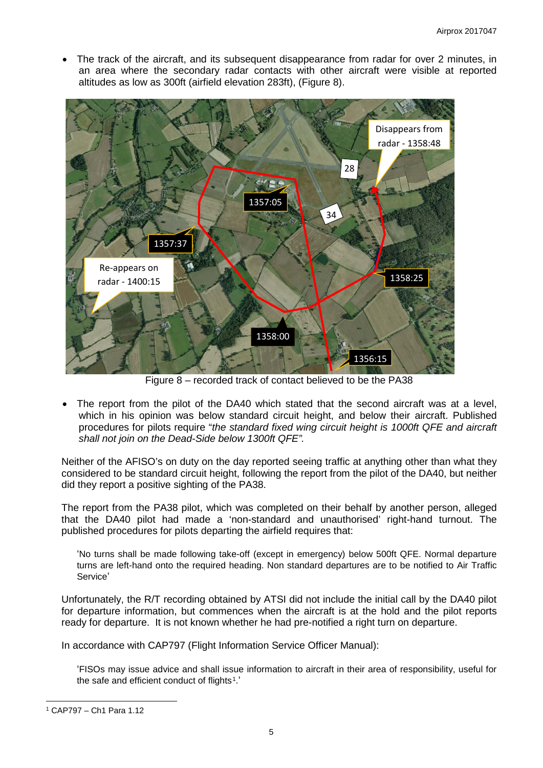The track of the aircraft, and its subsequent disappearance from radar for over 2 minutes, in an area where the secondary radar contacts with other aircraft were visible at reported altitudes as low as 300ft (airfield elevation 283ft), (Figure 8).



Figure 8 – recorded track of contact believed to be the PA38

The report from the pilot of the DA40 which stated that the second aircraft was at a level, which in his opinion was below standard circuit height, and below their aircraft. Published procedures for pilots require "*the standard fixed wing circuit height is 1000ft QFE and aircraft shall not join on the Dead-Side below 1300ft QFE".*

Neither of the AFISO's on duty on the day reported seeing traffic at anything other than what they considered to be standard circuit height, following the report from the pilot of the DA40, but neither did they report a positive sighting of the PA38.

The report from the PA38 pilot, which was completed on their behalf by another person, alleged that the DA40 pilot had made a 'non-standard and unauthorised' right-hand turnout. The published procedures for pilots departing the airfield requires that:

'No turns shall be made following take-off (except in emergency) below 500ft QFE. Normal departure turns are left-hand onto the required heading. Non standard departures are to be notified to Air Traffic Service'

Unfortunately, the R/T recording obtained by ATSI did not include the initial call by the DA40 pilot for departure information, but commences when the aircraft is at the hold and the pilot reports ready for departure. It is not known whether he had pre-notified a right turn on departure.

In accordance with CAP797 (Flight Information Service Officer Manual):

'FISOs may issue advice and shall issue information to aircraft in their area of responsibility, useful for the safe and efficient conduct of flights<sup>1</sup>.'

 $\overline{\phantom{a}}$ 

<span id="page-4-0"></span><sup>1</sup> CAP797 – Ch1 Para 1.12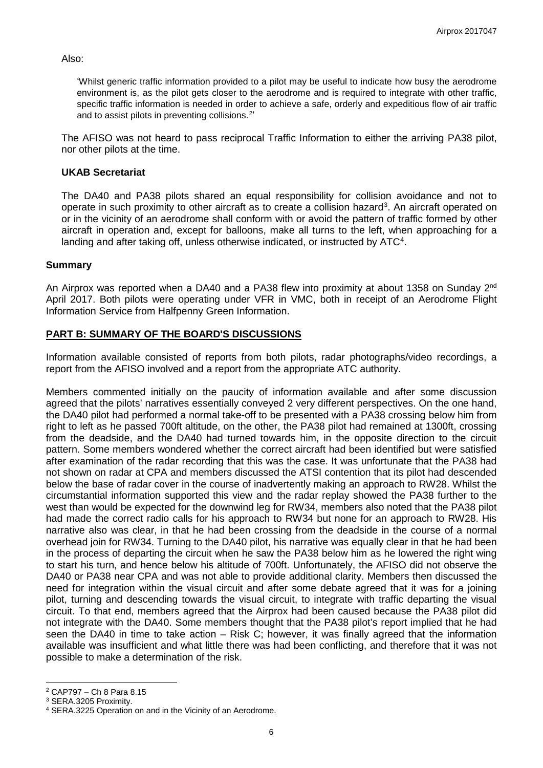Also:

'Whilst generic traffic information provided to a pilot may be useful to indicate how busy the aerodrome environment is, as the pilot gets closer to the aerodrome and is required to integrate with other traffic, specific traffic information is needed in order to achieve a safe, orderly and expeditious flow of air traffic and to assist pilots in preventing collisions.[2'](#page-5-0)

The AFISO was not heard to pass reciprocal Traffic Information to either the arriving PA38 pilot, nor other pilots at the time.

## **UKAB Secretariat**

The DA40 and PA38 pilots shared an equal responsibility for collision avoidance and not to operate in such proximity to other aircraft as to create a collision hazard<sup>[3](#page-5-1)</sup>. An aircraft operated on or in the vicinity of an aerodrome shall conform with or avoid the pattern of traffic formed by other aircraft in operation and, except for balloons, make all turns to the left, when approaching for a landing and after taking off, unless otherwise indicated, or instructed by ATC<sup>[4](#page-5-2)</sup>.

## **Summary**

An Airprox was reported when a DA40 and a PA38 flew into proximity at about 1358 on Sunday 2<sup>nd</sup> April 2017. Both pilots were operating under VFR in VMC, both in receipt of an Aerodrome Flight Information Service from Halfpenny Green Information.

# **PART B: SUMMARY OF THE BOARD'S DISCUSSIONS**

Information available consisted of reports from both pilots, radar photographs/video recordings, a report from the AFISO involved and a report from the appropriate ATC authority.

Members commented initially on the paucity of information available and after some discussion agreed that the pilots' narratives essentially conveyed 2 very different perspectives. On the one hand, the DA40 pilot had performed a normal take-off to be presented with a PA38 crossing below him from right to left as he passed 700ft altitude, on the other, the PA38 pilot had remained at 1300ft, crossing from the deadside, and the DA40 had turned towards him, in the opposite direction to the circuit pattern. Some members wondered whether the correct aircraft had been identified but were satisfied after examination of the radar recording that this was the case. It was unfortunate that the PA38 had not shown on radar at CPA and members discussed the ATSI contention that its pilot had descended below the base of radar cover in the course of inadvertently making an approach to RW28. Whilst the circumstantial information supported this view and the radar replay showed the PA38 further to the west than would be expected for the downwind leg for RW34, members also noted that the PA38 pilot had made the correct radio calls for his approach to RW34 but none for an approach to RW28. His narrative also was clear, in that he had been crossing from the deadside in the course of a normal overhead join for RW34. Turning to the DA40 pilot, his narrative was equally clear in that he had been in the process of departing the circuit when he saw the PA38 below him as he lowered the right wing to start his turn, and hence below his altitude of 700ft. Unfortunately, the AFISO did not observe the DA40 or PA38 near CPA and was not able to provide additional clarity. Members then discussed the need for integration within the visual circuit and after some debate agreed that it was for a joining pilot, turning and descending towards the visual circuit, to integrate with traffic departing the visual circuit. To that end, members agreed that the Airprox had been caused because the PA38 pilot did not integrate with the DA40. Some members thought that the PA38 pilot's report implied that he had seen the DA40 in time to take action – Risk C; however, it was finally agreed that the information available was insufficient and what little there was had been conflicting, and therefore that it was not possible to make a determination of the risk.

 $\overline{\phantom{a}}$ 

<span id="page-5-0"></span><sup>2</sup> CAP797 – Ch 8 Para 8.15

<span id="page-5-1"></span><sup>3</sup> SERA.3205 Proximity.

<span id="page-5-2"></span><sup>4</sup> SERA.3225 Operation on and in the Vicinity of an Aerodrome.